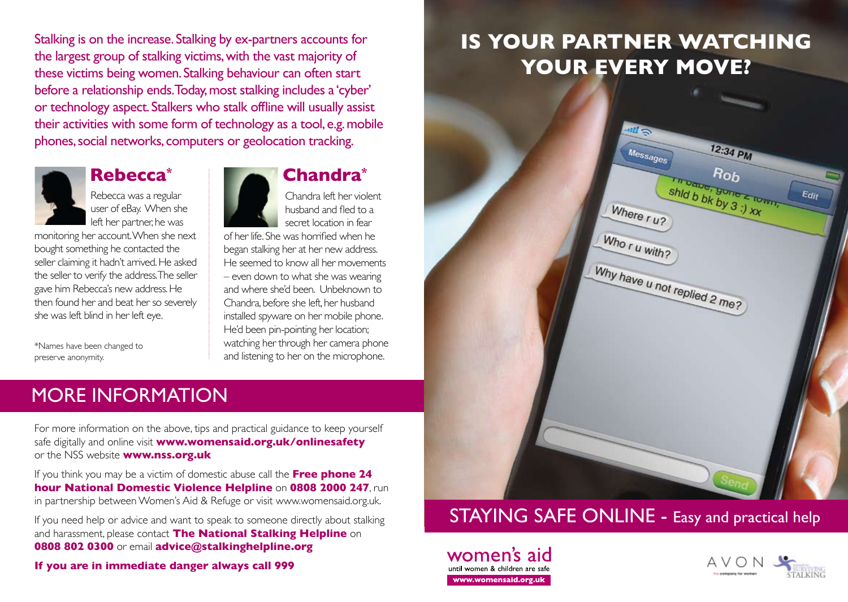Stalking is on the increase. Stalking by ex-partners accounts for the largest group of stalking victims, with the vast majority of these victims being women. Stalking behaviour can often start before a relationship ends. Today, most stalking includes a 'cyber' or technology aspect. Stalkers who stalk offline will usually assist their activities with some form of technology as a tool, e.g. mobile phones, social networks, computers or geolocation tracking.



Rebecca was a regular user of eBay. When she left her partner, he was

monitoring her account. When she next bought something he contacted the seller claiming it hadn't arrived. He asked the seller to verify the address. The seller gave him Rebecca's new address. He then found her and beat her so severely she was left blind in her left eye.

\*Names have been changed to preserve anonymity.

**Rebecca\* Chandra\***

Chandra left her violent husband and fled to a secret location in fear

of her life. She was horrified when he began stalking her at her new address. He seemed to know all her movements – even down to what she was wearing and where she'd been. Unbeknown to Chandra, before she left, her husband installed spyware on her mobile phone. He'd been pin-pointing her location; watching her through her camera phone and listening to her on the microphone.

# MORE INFORMATION

For more information on the above, tips and practical guidance to keep yourself safe digitally and online visit **www.womensaid.org.uk/onlinesafety** or the NSS website **www.nss.org.uk**

If you think you may be a victim of domestic abuse call the **Free phone 24 hour National Domestic Violence Helpline** on **0808 2000 247**, run in partnership between Women's Aid & Refuge or visit www.womensaid.org.uk.

If you need help or advice and want to speak to someone directly about stalking and harassment, please contact **The National Stalking Helpline** on **0808 802 0300** or email **advice@stalkinghelpline.org**

**If you are in immediate danger always call 999**

# **Is your partner watching your every move?**



## STAYING SAFE ONLINE - Easy and practical help

women's aid until women & children are saf www.womensaid.org.uk